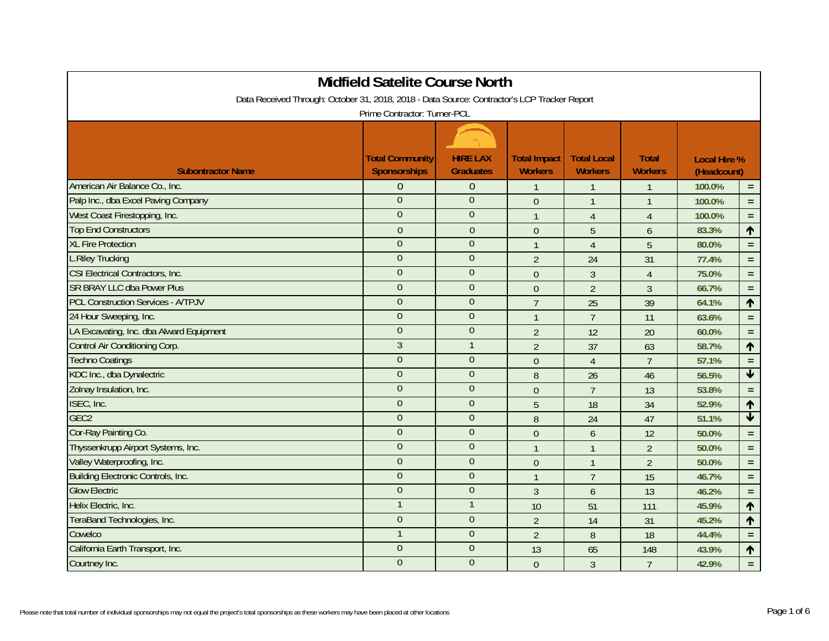| <b>Midfield Satelite Course North</b>                                                        |                                               |                                     |                                       |                                      |                                |                                    |                         |  |  |
|----------------------------------------------------------------------------------------------|-----------------------------------------------|-------------------------------------|---------------------------------------|--------------------------------------|--------------------------------|------------------------------------|-------------------------|--|--|
| Data Received Through: October 31, 2018, 2018 - Data Source: Contractor's LCP Tracker Report |                                               |                                     |                                       |                                      |                                |                                    |                         |  |  |
| Prime Contractor: Turner-PCL                                                                 |                                               |                                     |                                       |                                      |                                |                                    |                         |  |  |
|                                                                                              |                                               |                                     |                                       |                                      |                                |                                    |                         |  |  |
| <b>Subontractor Name</b>                                                                     | <b>Total Community</b><br><b>Sponsorships</b> | <b>HIRE LAX</b><br><b>Graduates</b> | <b>Total Impact</b><br><b>Workers</b> | <b>Total Local</b><br><b>Workers</b> | <b>Total</b><br><b>Workers</b> | <b>Local Hire %</b><br>(Headcount) |                         |  |  |
| American Air Balance Co., Inc.                                                               | $\Omega$                                      | $\theta$                            | $\mathbf{1}$                          | $\mathbf{1}$                         | $\mathbf 1$                    | 100.0%                             | $\equiv$                |  |  |
| Palp Inc., dba Excel Paving Company                                                          | $\overline{0}$                                | $\overline{0}$                      | $\mathbf 0$                           | $\mathbf{1}$                         | $\overline{1}$                 | 100.0%                             | $\equiv$                |  |  |
| West Coast Firestopping, Inc.                                                                | $\overline{0}$                                | $\theta$                            | $\mathbf{1}$                          | $\overline{4}$                       | $\overline{4}$                 | 100.0%                             | $\equiv$                |  |  |
| <b>Top End Constructors</b>                                                                  | $\mathbf{0}$                                  | $\theta$                            | $\theta$                              | 5                                    | $\overline{6}$                 | 83.3%                              | $\uparrow$              |  |  |
| <b>XL Fire Protection</b>                                                                    | $\overline{0}$                                | $\overline{0}$                      | $\mathbf{1}$                          | $\overline{4}$                       | 5                              | 80.0%                              | $\equiv$                |  |  |
| <b>L.Riley Trucking</b>                                                                      | $\overline{0}$                                | $\Omega$                            | $\overline{2}$                        | 24                                   | 31                             | 77.4%                              | $\equiv$                |  |  |
| <b>CSI Electrical Contractors, Inc.</b>                                                      | $\overline{0}$                                | $\theta$                            | $\boldsymbol{0}$                      | $\mathfrak{Z}$                       | $\overline{4}$                 | 75.0%                              | $\equiv$                |  |  |
| <b>SR BRAY LLC dba Power Plus</b>                                                            | $\overline{0}$                                | $\overline{0}$                      | $\boldsymbol{0}$                      | $\overline{2}$                       | $\overline{3}$                 | 66.7%                              | $\equiv$                |  |  |
| <b>PCL Construction Services - A/TPJV</b>                                                    | $\overline{0}$                                | $\overline{0}$                      | $\overline{1}$                        | 25                                   | 39                             | 64.1%                              | $\uparrow$              |  |  |
| 24 Hour Sweeping, Inc.                                                                       | $\overline{0}$                                | $\overline{0}$                      | $\overline{1}$                        | $\overline{7}$                       | 11                             | 63.6%                              | $\equiv$                |  |  |
| LA Excavating, Inc. dba Alward Equipment                                                     | $\overline{0}$                                | $\theta$                            | $\overline{2}$                        | 12                                   | 20                             | 60.0%                              | $\equiv$                |  |  |
| <b>Control Air Conditioning Corp.</b>                                                        | 3                                             | $\mathbf{1}$                        | $\overline{2}$                        | 37                                   | 63                             | 58.7%                              | $\uparrow$              |  |  |
| <b>Techno Coatings</b>                                                                       | $\overline{0}$                                | $\mathbf{0}$                        | $\mathbf 0$                           | $\overline{4}$                       | $\overline{7}$                 | 57.1%                              | $\equiv$                |  |  |
| KDC Inc., dba Dynalectric                                                                    | $\overline{0}$                                | $\theta$                            | 8                                     | 26                                   | 46                             | 56.5%                              | $\blacklozenge$         |  |  |
| Zolnay Insulation, Inc.                                                                      | $\overline{0}$                                | $\overline{0}$                      | $\overline{0}$                        | $\overline{7}$                       | 13                             | 53.8%                              | $\equiv$                |  |  |
| ISEC, Inc.                                                                                   | $\overline{0}$                                | $\overline{0}$                      | 5                                     | 18                                   | 34                             | 52.9%                              | $\uparrow$              |  |  |
| GEC <sub>2</sub>                                                                             | $\Omega$                                      | $\Omega$                            | 8                                     | 24                                   | 47                             | 51.1%                              | $\overline{\textbf{v}}$ |  |  |
| Cor-Ray Painting Co.                                                                         | $\overline{0}$                                | $\overline{0}$                      | $\mathbf 0$                           | 6                                    | 12                             | 50.0%                              | $\equiv$                |  |  |
| Thyssenkrupp Airport Systems, Inc.                                                           | $\boldsymbol{0}$                              | $\boldsymbol{0}$                    | $\mathbf{1}$                          | $\mathbf{1}$                         | $\overline{2}$                 | 50.0%                              | $\equiv$                |  |  |
| Valley Waterproofing, Inc.                                                                   | $\overline{0}$                                | $\theta$                            | $\mathbf 0$                           | $\mathbf{1}$                         | $\overline{2}$                 | 50.0%                              | $\equiv$                |  |  |
| Building Electronic Controls, Inc.                                                           | $\overline{0}$                                | $\theta$                            | $\mathbf{1}$                          | $\overline{7}$                       | 15                             | 46.7%                              | $\equiv$                |  |  |
| <b>Glow Electric</b>                                                                         | $\overline{0}$                                | $\overline{0}$                      | $\overline{3}$                        | 6                                    | 13                             | 46.2%                              | $\equiv$                |  |  |
| Helix Electric, Inc.                                                                         |                                               | $\mathbf{1}$                        | 10                                    | 51                                   | 111                            | 45.9%                              | $\uparrow$              |  |  |
| TeraBand Technologies, Inc.                                                                  | $\overline{0}$                                | $\theta$                            | $\overline{2}$                        | 14                                   | 31                             | 45.2%                              | $\uparrow$              |  |  |
| Cowelco                                                                                      |                                               | $\overline{0}$                      | $\overline{2}$                        | 8                                    | 18                             | 44.4%                              | $\equiv$                |  |  |
| California Earth Transport, Inc.                                                             | $\Omega$                                      | $\Omega$                            | 13                                    | 65                                   | 148                            | 43.9%                              | $\uparrow$              |  |  |
| Courtney Inc.                                                                                | $\overline{0}$                                | $\overline{0}$                      | $\theta$                              | 3                                    | $\overline{7}$                 | 42.9%                              | $\equiv$                |  |  |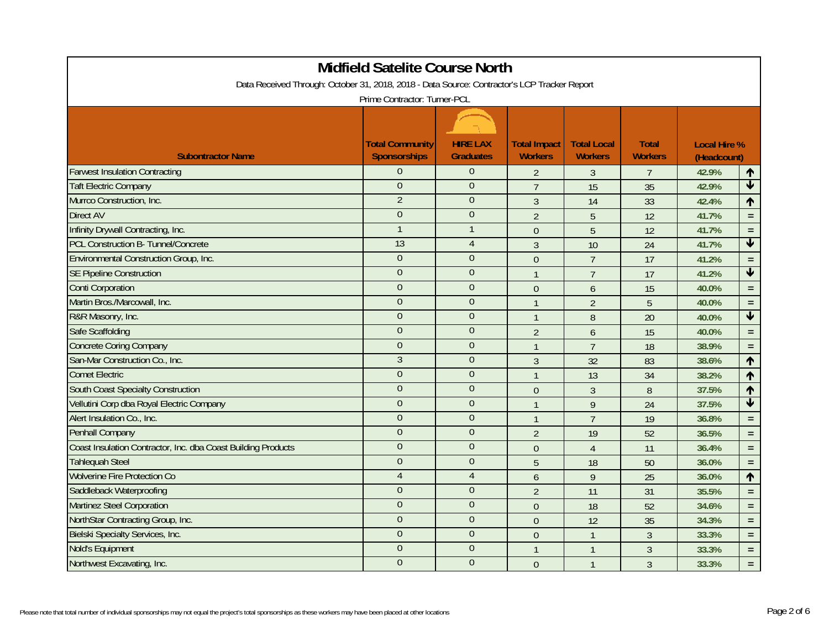| <b>Midfield Satelite Course North</b>                                                        |                                               |                                     |                                       |                                      |                                |                                    |                         |  |  |
|----------------------------------------------------------------------------------------------|-----------------------------------------------|-------------------------------------|---------------------------------------|--------------------------------------|--------------------------------|------------------------------------|-------------------------|--|--|
| Data Received Through: October 31, 2018, 2018 - Data Source: Contractor's LCP Tracker Report |                                               |                                     |                                       |                                      |                                |                                    |                         |  |  |
| Prime Contractor: Turner-PCL                                                                 |                                               |                                     |                                       |                                      |                                |                                    |                         |  |  |
|                                                                                              |                                               |                                     |                                       |                                      |                                |                                    |                         |  |  |
| <b>Subontractor Name</b>                                                                     | <b>Total Community</b><br><b>Sponsorships</b> | <b>HIRE LAX</b><br><b>Graduates</b> | <b>Total Impact</b><br><b>Workers</b> | <b>Total Local</b><br><b>Workers</b> | <b>Total</b><br><b>Workers</b> | <b>Local Hire %</b><br>(Headcount) |                         |  |  |
| <b>Farwest Insulation Contracting</b>                                                        | $\Omega$                                      | $\theta$                            | $\overline{2}$                        | 3                                    | $\overline{7}$                 | 42.9%                              | 个                       |  |  |
| <b>Taft Electric Company</b>                                                                 | $\overline{0}$                                | $\overline{0}$                      | $\overline{7}$                        | $\overline{15}$                      | 35                             | 42.9%                              | $\blacktriangledown$    |  |  |
| Murrco Construction, Inc.                                                                    | $\overline{2}$                                | $\theta$                            | $\mathfrak{Z}$                        | 14                                   | 33                             | 42.4%                              | ↑                       |  |  |
| <b>Direct AV</b>                                                                             | $\overline{0}$                                | $\theta$                            | $\overline{2}$                        | 5                                    | 12                             | 41.7%                              | $\equiv$                |  |  |
| Infinity Drywall Contracting, Inc.                                                           |                                               | $\mathbf{1}$                        | $\mathbf 0$                           | 5                                    | 12                             | 41.7%                              | $\equiv$                |  |  |
| <b>PCL Construction B- Tunnel/Concrete</b>                                                   | 13                                            | $\overline{4}$                      | $\overline{3}$                        | 10                                   | 24                             | 41.7%                              | $\blacktriangledown$    |  |  |
| Environmental Construction Group, Inc.                                                       | $\Omega$                                      | $\Omega$                            | $\overline{0}$                        | $\overline{7}$                       | 17                             | 41.2%                              | $\equiv$                |  |  |
| <b>SE Pipeline Construction</b>                                                              | $\overline{0}$                                | $\overline{0}$                      | $\mathbf{1}$                          | $\overline{7}$                       | 17                             | 41.2%                              | $\overline{\mathbf{t}}$ |  |  |
| <b>Conti Corporation</b>                                                                     | $\Omega$                                      | $\overline{0}$                      | $\overline{0}$                        | 6                                    | 15                             | 40.0%                              | $\equiv$                |  |  |
| Martin Bros./Marcowall, Inc.                                                                 | $\overline{0}$                                | $\theta$                            | $\mathbf{1}$                          | $\overline{2}$                       | 5                              | 40.0%                              | $\equiv$                |  |  |
| R&R Masonry, Inc.                                                                            | $\overline{0}$                                | $\overline{0}$                      | $\overline{1}$                        | 8                                    | 20                             | 40.0%                              | $\blacklozenge$         |  |  |
| <b>Safe Scaffolding</b>                                                                      | $\overline{0}$                                | $\theta$                            | $\overline{2}$                        | $\boldsymbol{6}$                     | 15                             | 40.0%                              | $\equiv$                |  |  |
| <b>Concrete Coring Company</b>                                                               | $\overline{0}$                                | $\overline{0}$                      | $\overline{1}$                        | $\overline{7}$                       | 18                             | 38.9%                              | $\equiv$                |  |  |
| San-Mar Construction Co., Inc.                                                               | $\overline{3}$                                | $\overline{0}$                      | $\mathfrak{Z}$                        | 32                                   | 83                             | 38.6%                              | $\uparrow$              |  |  |
| <b>Comet Electric</b>                                                                        | $\overline{0}$                                | $\theta$                            | $\overline{1}$                        | 13                                   | 34                             | 38.2%                              | $\blacklozenge$         |  |  |
| <b>South Coast Specialty Construction</b>                                                    | $\overline{0}$                                | $\overline{0}$                      | $\Omega$                              | $\overline{3}$                       | 8                              | 37.5%                              | $\uparrow$              |  |  |
| Vellutini Corp dba Royal Electric Company                                                    | $\overline{0}$                                | $\overline{0}$                      | $\mathbf{1}$                          | 9                                    | 24                             | 37.5%                              | $\overline{\textbf{t}}$ |  |  |
| Alert Insulation Co., Inc.                                                                   | $\overline{0}$                                | $\theta$                            | $\overline{1}$                        | $\overline{7}$                       | 19                             | 36.8%                              | $\equiv$                |  |  |
| Penhall Company                                                                              | $\Omega$                                      | $\theta$                            | $\overline{2}$                        | 19                                   | 52                             | 36.5%                              | $\equiv$                |  |  |
| Coast Insulation Contractor, Inc. dba Coast Building Products                                | $\overline{0}$                                | $\theta$                            | $\mathbf{0}$                          | $\overline{4}$                       | 11                             | 36.4%                              | $\equiv$                |  |  |
| <b>Tahlequah Steel</b>                                                                       | $\overline{0}$                                | $\mathbf{0}$                        | 5                                     | 18                                   | 50                             | 36.0%                              | $\equiv$                |  |  |
| <b>Wolverine Fire Protection Co</b>                                                          | $\overline{4}$                                | $\overline{4}$                      | $\boldsymbol{6}$                      | 9                                    | 25                             | 36.0%                              | $\uparrow$              |  |  |
| Saddleback Waterproofing                                                                     | $\Omega$                                      | $\theta$                            | $\overline{2}$                        | 11                                   | 31                             | 35.5%                              | $\equiv$                |  |  |
| <b>Martinez Steel Corporation</b>                                                            | $\overline{0}$                                | $\theta$                            | $\mathbf{0}$                          | 18                                   | 52                             | 34.6%                              | $\equiv$                |  |  |
| NorthStar Contracting Group, Inc.                                                            | $\overline{0}$                                | $\overline{0}$                      | $\overline{0}$                        | 12                                   | 35                             | 34.3%                              | $\equiv$                |  |  |
| <b>Bielski Specialty Services, Inc.</b>                                                      | $\overline{0}$                                | $\overline{0}$                      | $\theta$                              | $\mathbf{1}$                         | 3                              | 33.3%                              | $\equiv$                |  |  |
| Nold's Equipment                                                                             | $\overline{0}$                                | $\overline{0}$                      | $\overline{1}$                        | $\mathbf{1}$                         | $\mathfrak{Z}$                 | 33.3%                              | $\equiv$                |  |  |
| Northwest Excavating, Inc.                                                                   | $\overline{0}$                                | $\theta$                            | $\mathbf{0}$                          | $\mathbf{1}$                         | $\mathfrak{Z}$                 | 33.3%                              | $\equiv$                |  |  |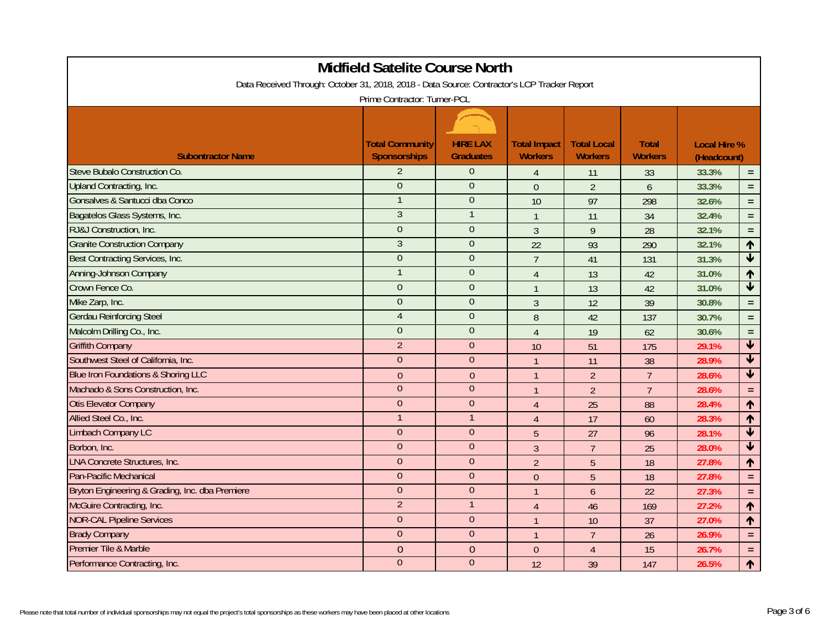| Midfield Satelite Course North                                                               |                                               |                                     |                                       |                                      |                                |                                    |                         |  |  |
|----------------------------------------------------------------------------------------------|-----------------------------------------------|-------------------------------------|---------------------------------------|--------------------------------------|--------------------------------|------------------------------------|-------------------------|--|--|
| Data Received Through: October 31, 2018, 2018 - Data Source: Contractor's LCP Tracker Report |                                               |                                     |                                       |                                      |                                |                                    |                         |  |  |
| Prime Contractor: Turner-PCL                                                                 |                                               |                                     |                                       |                                      |                                |                                    |                         |  |  |
|                                                                                              |                                               |                                     |                                       |                                      |                                |                                    |                         |  |  |
| <b>Subontractor Name</b>                                                                     | <b>Total Community</b><br><b>Sponsorships</b> | <b>HIRE LAX</b><br><b>Graduates</b> | <b>Total Impact</b><br><b>Workers</b> | <b>Total Local</b><br><b>Workers</b> | <b>Total</b><br><b>Workers</b> | <b>Local Hire %</b><br>(Headcount) |                         |  |  |
| Steve Bubalo Construction Co.                                                                | $\overline{2}$                                | $\overline{0}$                      | $\overline{4}$                        | 11                                   | 33                             | 33.3%                              | $\equiv$                |  |  |
| Upland Contracting, Inc.                                                                     | $\Omega$                                      | $\Omega$                            | $\overline{0}$                        | $\overline{2}$                       | $\overline{6}$                 | 33.3%                              | $\equiv$                |  |  |
| Gonsalves & Santucci dba Conco                                                               |                                               | $\theta$                            | 10                                    | 97                                   | 298                            | 32.6%                              | $\equiv$                |  |  |
| Bagatelos Glass Systems, Inc.                                                                | $\overline{3}$                                | $\mathbf{1}$                        | $\overline{1}$                        | 11                                   | 34                             | 32.4%                              | $\equiv$                |  |  |
| RJ&J Construction, Inc.                                                                      | $\overline{0}$                                | $\overline{0}$                      | $\mathfrak{Z}$                        | 9                                    | 28                             | 32.1%                              | $\equiv$                |  |  |
| <b>Granite Construction Company</b>                                                          | $\overline{3}$                                | $\Omega$                            | 22                                    | 93                                   | 290                            | 32.1%                              | 个                       |  |  |
| Best Contracting Services, Inc.                                                              | $\overline{0}$                                | $\theta$                            | $\overline{7}$                        | 41                                   | 131                            | 31.3%                              | $\overline{\textbf{v}}$ |  |  |
| <b>Anning-Johnson Company</b>                                                                |                                               | $\theta$                            | $\overline{4}$                        | 13                                   | 42                             | 31.0%                              | $\hat{\mathbf{r}}$      |  |  |
| Crown Fence Co.                                                                              | $\overline{0}$                                | $\overline{0}$                      | $\mathbf{1}$                          | 13                                   | 42                             | 31.0%                              | $\blacklozenge$         |  |  |
| Mike Zarp, Inc.                                                                              | $\Omega$                                      | $\Omega$                            | $\overline{3}$                        | 12                                   | 39                             | 30.8%                              | $\equiv$                |  |  |
| <b>Gerdau Reinforcing Steel</b>                                                              | $\overline{4}$                                | $\mathbf{0}$                        | 8                                     | 42                                   | 137                            | 30.7%                              | $\equiv$                |  |  |
| Malcolm Drilling Co., Inc.                                                                   | $\overline{0}$                                | $\overline{0}$                      | $\overline{4}$                        | 19                                   | 62                             | 30.6%                              | $\equiv$                |  |  |
| <b>Griffith Company</b>                                                                      | $\overline{2}$                                | $\overline{0}$                      | 10                                    | 51                                   | 175                            | 29.1%                              | $\blacktriangledown$    |  |  |
| Southwest Steel of California, Inc.                                                          | $\boldsymbol{0}$                              | $\boldsymbol{0}$                    | $\mathbf{1}$                          | 11                                   | 38                             | 28.9%                              | $\overline{\mathbf{t}}$ |  |  |
| Blue Iron Foundations & Shoring LLC                                                          | $\mathbf{0}$                                  | $\mathbf{0}$                        | $\mathbf{1}$                          | $\overline{2}$                       | $\overline{7}$                 | 28.6%                              | $\overline{\textbf{t}}$ |  |  |
| Machado & Sons Construction, Inc.                                                            | $\overline{0}$                                | $\overline{0}$                      | $\mathbf{1}$                          | $\overline{2}$                       | $\overline{7}$                 | 28.6%                              | $\equiv$                |  |  |
| <b>Otis Elevator Company</b>                                                                 | $\Omega$                                      | $\theta$                            | $\overline{4}$                        | 25                                   | 88                             | 28.4%                              | $\uparrow$              |  |  |
| Allied Steel Co., Inc.                                                                       |                                               | $\mathbf{1}$                        | $\overline{4}$                        | 17                                   | 60                             | 28.3%                              | ↑                       |  |  |
| <b>Limbach Company LC</b>                                                                    | $\overline{0}$                                | $\overline{0}$                      | 5                                     | 27                                   | 96                             | 28.1%                              | $\overline{\textbf{v}}$ |  |  |
| Borbon, Inc.                                                                                 | $\overline{0}$                                | $\Omega$                            | 3                                     | $\overline{7}$                       | 25                             | 28.0%                              | $\overline{\textbf{v}}$ |  |  |
| <b>LNA Concrete Structures, Inc.</b>                                                         | $\Omega$                                      | $\theta$                            | $\overline{2}$                        | 5                                    | 18                             | 27.8%                              | ↑                       |  |  |
| Pan-Pacific Mechanical                                                                       | $\overline{0}$                                | $\mathbf{0}$                        | $\mathbf{0}$                          | 5                                    | 18                             | 27.8%                              | $\equiv$                |  |  |
| Bryton Engineering & Grading, Inc. dba Premiere                                              | $\overline{0}$                                | $\overline{0}$                      | $\overline{1}$                        | $\overline{6}$                       | 22                             | 27.3%                              | $\equiv$                |  |  |
| McGuire Contracting, Inc.                                                                    | $\overline{2}$                                | $\mathbf{1}$                        | 4                                     | 46                                   | 169                            | 27.2%                              | $\uparrow$              |  |  |
| <b>NOR-CAL Pipeline Services</b>                                                             | $\Omega$                                      | $\Omega$                            | $\mathbf{1}$                          | 10                                   | 37                             | 27.0%                              | $\uparrow$              |  |  |
| <b>Brady Company</b>                                                                         | $\Omega$                                      | $\theta$                            | $\mathbf{1}$                          | $\overline{7}$                       | 26                             | 26.9%                              | $\equiv$                |  |  |
| Premier Tile & Marble                                                                        | $\overline{0}$                                | $\overline{0}$                      | $\theta$                              | $\overline{4}$                       | 15                             | 26.7%                              | $\equiv$                |  |  |
| Performance Contracting, Inc.                                                                | $\overline{0}$                                | $\overline{0}$                      | 12                                    | 39                                   | 147                            | 26.5%                              | $\uparrow$              |  |  |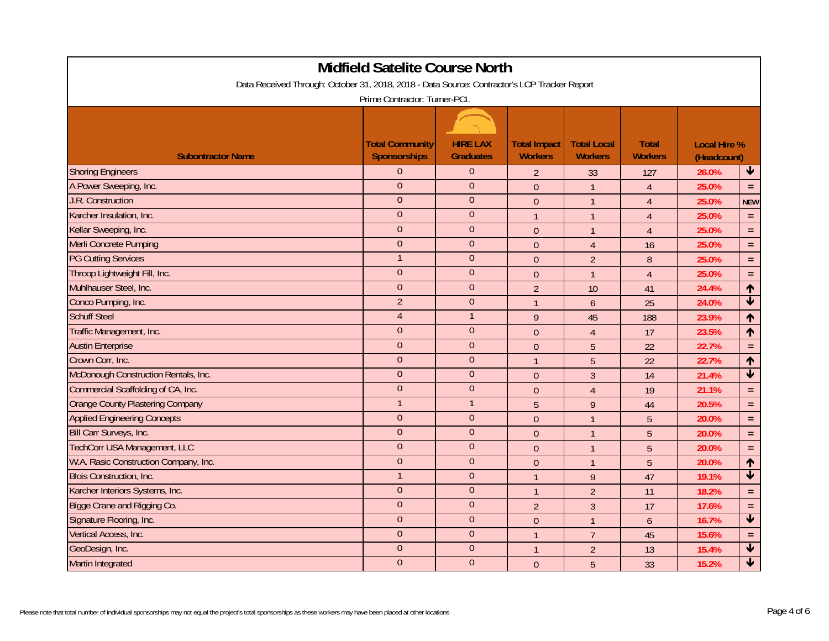|                                                                                              | <b>Midfield Satelite Course North</b>         |                                     |                                       |                                      |                                |                                    |                                 |  |  |
|----------------------------------------------------------------------------------------------|-----------------------------------------------|-------------------------------------|---------------------------------------|--------------------------------------|--------------------------------|------------------------------------|---------------------------------|--|--|
| Data Received Through: October 31, 2018, 2018 - Data Source: Contractor's LCP Tracker Report |                                               |                                     |                                       |                                      |                                |                                    |                                 |  |  |
| Prime Contractor: Turner-PCL                                                                 |                                               |                                     |                                       |                                      |                                |                                    |                                 |  |  |
|                                                                                              |                                               |                                     |                                       |                                      |                                |                                    |                                 |  |  |
| <b>Subontractor Name</b>                                                                     | <b>Total Community</b><br><b>Sponsorships</b> | <b>HIRE LAX</b><br><b>Graduates</b> | <b>Total Impact</b><br><b>Workers</b> | <b>Total Local</b><br><b>Workers</b> | <b>Total</b><br><b>Workers</b> | <b>Local Hire %</b><br>(Headcount) |                                 |  |  |
| <b>Shoring Engineers</b>                                                                     | $\Omega$                                      | $\mathbf{0}$                        | $\overline{2}$                        | 33                                   | 127                            | 26.0%                              | $\blacklozenge$                 |  |  |
| A Power Sweeping, Inc.                                                                       | $\overline{0}$                                | $\overline{0}$                      | $\overline{0}$                        | $\mathbf{1}$                         | $\overline{4}$                 | 25.0%                              | $\equiv$                        |  |  |
| J.R. Construction                                                                            | $\Omega$                                      | $\theta$                            | $\theta$                              | $\mathbf{1}$                         | $\overline{4}$                 | 25.0%                              | <b>NEW</b>                      |  |  |
| Karcher Insulation, Inc.                                                                     | $\overline{0}$                                | $\overline{0}$                      | $\overline{1}$                        | $\mathbf{1}$                         | $\overline{4}$                 | 25.0%                              | $\equiv$                        |  |  |
| Kellar Sweeping, Inc.                                                                        | $\overline{0}$                                | $\theta$                            | $\theta$                              | $\mathbf{1}$                         | $\overline{4}$                 | 25.0%                              | $\equiv$                        |  |  |
| Merli Concrete Pumping                                                                       | $\overline{0}$                                | $\theta$                            | $\mathbf{0}$                          | $\overline{4}$                       | 16                             | 25.0%                              | $\equiv$                        |  |  |
| <b>PG Cutting Services</b>                                                                   |                                               | $\theta$                            | $\mathbf{0}$                          | $\overline{2}$                       | $\boldsymbol{8}$               | 25.0%                              | $\equiv$                        |  |  |
| Throop Lightweight Fill, Inc.                                                                | $\overline{0}$                                | $\theta$                            | $\overline{0}$                        | $\mathbf{1}$                         | $\overline{4}$                 | 25.0%                              | $\equiv$                        |  |  |
| Muhlhauser Steel, Inc.                                                                       | $\overline{0}$                                | $\overline{0}$                      | $\overline{2}$                        | 10                                   | 41                             | 24.4%                              | $\uparrow$                      |  |  |
| Conco Pumping, Inc.                                                                          | $\overline{2}$                                | $\overline{0}$                      | $\mathbf{1}$                          | $\overline{6}$                       | 25                             | 24.0%                              | $\overline{\textbf{v}}$         |  |  |
| <b>Schuff Steel</b>                                                                          | $\overline{4}$                                | $\mathbf{1}$                        | $\overline{9}$                        | 45                                   | 188                            | 23.9%                              | ↑                               |  |  |
| Traffic Management, Inc.                                                                     | $\overline{0}$                                | $\theta$                            | $\theta$                              | $\overline{4}$                       | 17                             | 23.5%                              | ↑                               |  |  |
| <b>Austin Enterprise</b>                                                                     | $\overline{0}$                                | $\overline{0}$                      | $\overline{0}$                        | 5                                    | 22                             | 22.7%                              | $\equiv$                        |  |  |
| Crown Corr, Inc.                                                                             | $\overline{0}$                                | $\overline{0}$                      | $\overline{1}$                        | $\overline{5}$                       | 22                             | 22.7%                              | $\uparrow$                      |  |  |
| McDonough Construction Rentals, Inc.                                                         | $\overline{0}$                                | $\theta$                            | $\mathbf{0}$                          | $\overline{3}$                       | 14                             | 21.4%                              | $\overline{\textbf{t}}$         |  |  |
| Commercial Scaffolding of CA, Inc.                                                           | $\overline{0}$                                | $\theta$                            | $\overline{0}$                        | $\overline{4}$                       | 19                             | 21.1%                              | $\equiv$                        |  |  |
| <b>Orange County Plastering Company</b>                                                      | $\overline{1}$                                | $\mathbf{1}$                        | 5                                     | 9                                    | 44                             | 20.5%                              | $\equiv$                        |  |  |
| <b>Applied Engineering Concepts</b>                                                          | $\overline{0}$                                | $\overline{0}$                      | $\overline{0}$                        | $\mathbf{1}$                         | 5                              | 20.0%                              | $\equiv$                        |  |  |
| Bill Carr Surveys, Inc.                                                                      | $\overline{0}$                                | $\overline{0}$                      | $\mathbf{0}$                          | $\mathbf{1}$                         | $\overline{5}$                 | 20.0%                              | $\equiv$                        |  |  |
| <b>TechCorr USA Management, LLC</b>                                                          | $\mathbf 0$                                   | $\theta$                            | $\mathbf{0}$                          | $\mathbf{1}$                         | 5                              | 20.0%                              | $\equiv$                        |  |  |
| W.A. Rasic Construction Company, Inc.                                                        | $\overline{0}$                                | $\mathbf{0}$                        | $\mathbf{0}$                          | $\mathbf{1}$                         | 5                              | 20.0%                              | $\uparrow$                      |  |  |
| <b>Blois Construction, Inc.</b>                                                              |                                               | $\overline{0}$                      | $\mathbf{1}$                          | 9                                    | 47                             | 19.1%                              | $\overline{\textbf{v}}$         |  |  |
| Karcher Interiors Systems, Inc.                                                              | $\overline{0}$                                | $\overline{0}$                      | $\mathbf{1}$                          | $\overline{2}$                       | 11                             | 18.2%                              | $\equiv$                        |  |  |
| Bigge Crane and Rigging Co.                                                                  | $\Omega$                                      | $\theta$                            | $\overline{2}$                        | 3                                    | 17                             | 17.6%                              | $\equiv$                        |  |  |
| Signature Flooring, Inc.                                                                     | $\overline{0}$                                | $\theta$                            | $\overline{0}$                        | $\mathbf{1}$                         | $\mathfrak b$                  | 16.7%                              | $\overline{\textbf{v}}$         |  |  |
| Vertical Access, Inc.                                                                        | $\overline{0}$                                | $\theta$                            | $\mathbf{1}$                          | $\overline{7}$                       | 45                             | 15.6%                              | $\equiv$                        |  |  |
| GeoDesign, Inc.                                                                              | $\overline{0}$                                | $\overline{0}$                      | $\overline{1}$                        | $\overline{2}$                       | 13                             | 15.4%                              | $\overline{\textbf{t}}$         |  |  |
| Martin Integrated                                                                            | $\overline{0}$                                | $\overline{0}$                      | $\mathbf{0}$                          | 5                                    | 33                             | 15.2%                              | $\overline{\blacktriangledown}$ |  |  |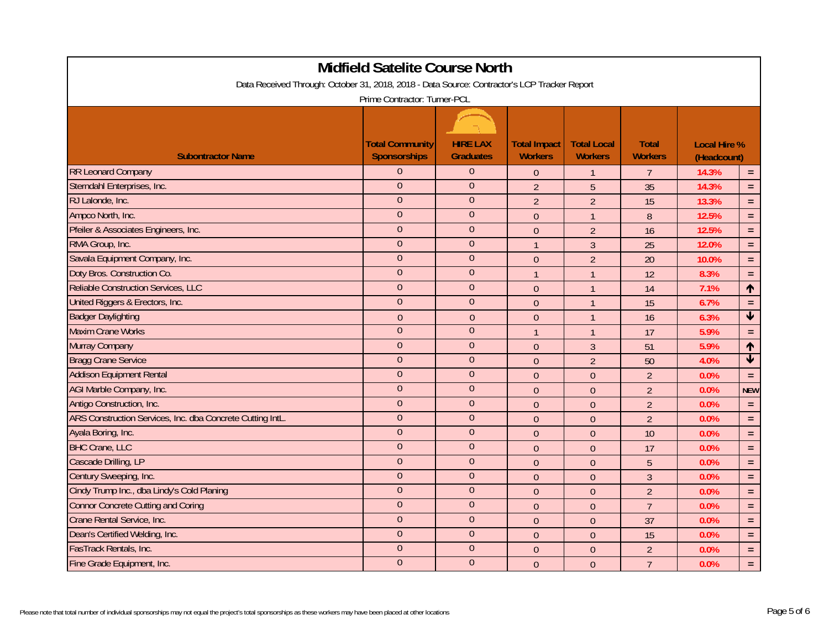| Midfield Satelite Course North                                                               |                                               |                                     |                                       |                                      |                                |                                    |                         |  |  |
|----------------------------------------------------------------------------------------------|-----------------------------------------------|-------------------------------------|---------------------------------------|--------------------------------------|--------------------------------|------------------------------------|-------------------------|--|--|
| Data Received Through: October 31, 2018, 2018 - Data Source: Contractor's LCP Tracker Report |                                               |                                     |                                       |                                      |                                |                                    |                         |  |  |
| Prime Contractor: Turner-PCL                                                                 |                                               |                                     |                                       |                                      |                                |                                    |                         |  |  |
|                                                                                              |                                               |                                     |                                       |                                      |                                |                                    |                         |  |  |
| <b>Subontractor Name</b>                                                                     | <b>Total Community</b><br><b>Sponsorships</b> | <b>HIRE LAX</b><br><b>Graduates</b> | <b>Total Impact</b><br><b>Workers</b> | <b>Total Local</b><br><b>Workers</b> | <b>Total</b><br><b>Workers</b> | <b>Local Hire %</b><br>(Headcount) |                         |  |  |
| <b>RR Leonard Company</b>                                                                    | $\Omega$                                      | $\theta$                            | $\overline{0}$                        | $\mathbf{1}$                         | $\overline{7}$                 | 14.3%                              | $\equiv$                |  |  |
| Sterndahl Enterprises, Inc.                                                                  | $\Omega$                                      | $\overline{0}$                      | $\overline{2}$                        | 5                                    | 35                             | 14.3%                              | $\equiv$                |  |  |
| RJ Lalonde, Inc.                                                                             | $\Omega$                                      | $\theta$                            | $\overline{2}$                        | $\overline{2}$                       | 15                             | 13.3%                              | $\equiv$                |  |  |
| Ampco North, Inc.                                                                            | $\overline{0}$                                | $\theta$                            | $\mathbf{0}$                          | $\mathbf{1}$                         | $\boldsymbol{8}$               | 12.5%                              | $\equiv$                |  |  |
| Pfeiler & Associates Engineers, Inc.                                                         | $\overline{0}$                                | $\theta$                            | $\mathbf{0}$                          | $\overline{2}$                       | 16                             | 12.5%                              | $\equiv$                |  |  |
| RMA Group, Inc.                                                                              | $\overline{0}$                                | $\theta$                            | $\overline{1}$                        | $\overline{3}$                       | 25                             | 12.0%                              | $\equiv$                |  |  |
| Savala Equipment Company, Inc.                                                               | $\Omega$                                      | $\theta$                            | $\overline{0}$                        | $\overline{2}$                       | 20                             | 10.0%                              | $\equiv$                |  |  |
| Doty Bros. Construction Co.                                                                  | $\overline{0}$                                | $\overline{0}$                      | $\mathbf{1}$                          | $\mathbf{1}$                         | 12                             | 8.3%                               | $\equiv$                |  |  |
| Reliable Construction Services, LLC                                                          | $\Omega$                                      | $\overline{0}$                      | $\mathbf{0}$                          | $\mathbf{1}$                         | 14                             | 7.1%                               | $\uparrow$              |  |  |
| United Riggers & Erectors, Inc.                                                              | $\overline{0}$                                | $\theta$                            | $\mathbf{0}$                          | $\mathbf{1}$                         | 15                             | 6.7%                               | $\equiv$                |  |  |
| <b>Badger Daylighting</b>                                                                    | $\overline{0}$                                | $\overline{0}$                      | $\overline{0}$                        | $\mathbf{1}$                         | 16                             | 6.3%                               | $\overline{\textbf{v}}$ |  |  |
| <b>Maxim Crane Works</b>                                                                     | $\overline{0}$                                | $\theta$                            | $\mathbf{1}$                          | $\mathbf{1}$                         | 17                             | 5.9%                               | $\equiv$                |  |  |
| Murray Company                                                                               | $\overline{0}$                                | $\overline{0}$                      | $\pmb{0}$                             | $\mathfrak{Z}$                       | 51                             | 5.9%                               | $\uparrow$              |  |  |
| <b>Bragg Crane Service</b>                                                                   | $\overline{0}$                                | $\boldsymbol{0}$                    | $\mathbf{0}$                          | $\overline{2}$                       | 50                             | 4.0%                               | $\overline{\mathbf{t}}$ |  |  |
| <b>Addison Equipment Rental</b>                                                              | $\boldsymbol{0}$                              | $\theta$                            | $\overline{0}$                        | $\overline{0}$                       | $\overline{2}$                 | 0.0%                               | $\equiv$                |  |  |
| AGI Marble Company, Inc.                                                                     | $\overline{0}$                                | $\overline{0}$                      | $\overline{0}$                        | $\overline{0}$                       | $\overline{2}$                 | 0.0%                               | <b>NEW</b>              |  |  |
| Antigo Construction, Inc.                                                                    | $\overline{0}$                                | $\overline{0}$                      | $\overline{0}$                        | $\theta$                             | $\overline{2}$                 | 0.0%                               | $\equiv$                |  |  |
| ARS Construction Services, Inc. dba Concrete Cutting IntL.                                   | $\overline{0}$                                | $\theta$                            | $\overline{0}$                        | $\overline{0}$                       | $\overline{2}$                 | 0.0%                               | $\equiv$                |  |  |
| Ayala Boring, Inc.                                                                           | $\Omega$                                      | $\theta$                            | $\mathbf{0}$                          | $\theta$                             | 10                             | 0.0%                               | $\equiv$                |  |  |
| <b>BHC Crane, LLC</b>                                                                        | $\overline{0}$                                | $\theta$                            | $\overline{0}$                        | $\theta$                             | 17                             | 0.0%                               | $\equiv$                |  |  |
| Cascade Drilling, LP                                                                         | $\overline{0}$                                | $\mathbf{0}$                        | $\Omega$                              | $\theta$                             | 5                              | 0.0%                               | $\equiv$                |  |  |
| Century Sweeping, Inc.                                                                       | $\overline{0}$                                | $\overline{0}$                      | $\theta$                              | $\theta$                             | $\mathfrak{Z}$                 | 0.0%                               | $\equiv$                |  |  |
| Cindy Trump Inc., dba Lindy's Cold Planing                                                   | $\overline{0}$                                | $\theta$                            | $\mathbf{0}$                          | $\boldsymbol{0}$                     | $\overline{2}$                 | 0.0%                               | $\equiv$                |  |  |
| <b>Connor Concrete Cutting and Coring</b>                                                    | $\overline{0}$                                | $\theta$                            | $\mathbf{0}$                          | $\theta$                             | $\overline{7}$                 | 0.0%                               | $\equiv$                |  |  |
| Crane Rental Service, Inc.                                                                   | $\overline{0}$                                | $\theta$                            | $\overline{0}$                        | $\overline{0}$                       | 37                             | 0.0%                               | $\equiv$                |  |  |
| Dean's Certified Welding, Inc.                                                               | $\overline{0}$                                | $\theta$                            | $\theta$                              | $\theta$                             | 15                             | 0.0%                               | $\equiv$                |  |  |
| FasTrack Rentals, Inc.                                                                       | $\overline{0}$                                | $\overline{0}$                      | $\overline{0}$                        | $\overline{0}$                       | $\overline{2}$                 | 0.0%                               | $\equiv$                |  |  |
| Fine Grade Equipment, Inc.                                                                   | $\overline{0}$                                | $\overline{0}$                      | $\mathbf{0}$                          | $\theta$                             | $\overline{7}$                 | 0.0%                               | $\equiv$                |  |  |